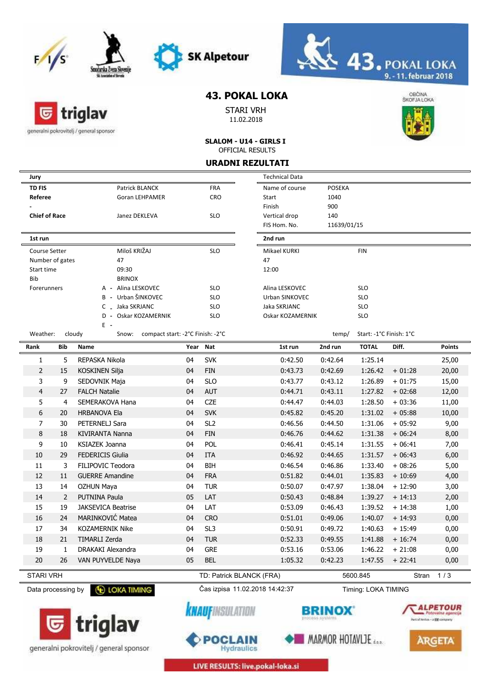

triglav

generalni pokrovitelj / general sponsor

匠





## **43. POKAL LOKA**

STARI VRH 11.02.2018



**SLALOM - U14 - GIRLS I** OFFICIAL RESULTS

| <b>URADNI REZULTATI</b>                  |                |                                                     |          |                                |                       |             |                         |          |               |
|------------------------------------------|----------------|-----------------------------------------------------|----------|--------------------------------|-----------------------|-------------|-------------------------|----------|---------------|
| Jury                                     |                |                                                     |          |                                | <b>Technical Data</b> |             |                         |          |               |
| <b>TD FIS</b>                            |                | Patrick BLANCK                                      |          | <b>FRA</b>                     | Name of course        | POSEKA      |                         |          |               |
| Referee                                  |                | <b>Goran LEHPAMER</b>                               |          | <b>CRO</b>                     | Start                 | 1040        |                         |          |               |
|                                          |                |                                                     |          |                                | Finish                | 900         |                         |          |               |
| <b>Chief of Race</b>                     |                | Janez DEKLEVA                                       |          | <b>SLO</b>                     | Vertical drop         | 140         |                         |          |               |
|                                          |                |                                                     |          |                                | FIS Hom. No.          | 11639/01/15 |                         |          |               |
| 1st run                                  |                |                                                     |          |                                | 2nd run               |             |                         |          |               |
| Course Setter                            |                | Miloš KRIŽAJ                                        |          | <b>SLO</b>                     | Mikael KURKI          |             | <b>FIN</b>              |          |               |
| Number of gates                          |                | 47                                                  |          |                                | 47                    |             |                         |          |               |
| Start time                               |                | 09:30                                               |          |                                | 12:00                 |             |                         |          |               |
| Bib                                      |                | <b>BRINOX</b>                                       |          |                                |                       |             |                         |          |               |
| Forerunners                              |                | A - Alina LESKOVEC                                  |          | <b>SLO</b>                     | Alina LESKOVEC        |             | <b>SLO</b>              |          |               |
|                                          |                | B - Urban ŠINKOVEC                                  |          | <b>SLO</b>                     | Urban ŠINKOVEC        |             | <b>SLO</b>              |          |               |
|                                          |                | C _ Jaka ŠKRJANC                                    |          | <b>SLO</b>                     | Jaka ŠKRJANC          |             | <b>SLO</b>              |          |               |
|                                          |                | D - Oskar KOZAMERNIK<br>$E -$                       |          | <b>SLO</b>                     | Oskar KOZAMERNIK      |             | <b>SLO</b>              |          |               |
| Weather:                                 |                | cloudy<br>compact start: -2°C Finish: -2°C<br>Snow: |          |                                |                       | temp/       | Start: -1°C Finish: 1°C |          |               |
| Rank                                     | Bib            | Name                                                | Year Nat |                                | 1st run               | 2nd run     | <b>TOTAL</b>            | Diff.    | <b>Points</b> |
| 1                                        | 5              | REPASKA Nikola                                      | 04       | <b>SVK</b>                     | 0:42.50               | 0:42.64     | 1:25.14                 |          | 25,00         |
| $\overline{2}$                           | 15             | <b>KOSKINEN Silja</b>                               | 04       | <b>FIN</b>                     | 0:43.73               | 0:42.69     | 1:26.42                 | $+01:28$ | 20,00         |
| 3                                        | 9              | SEDOVNIK Maja                                       | 04       | <b>SLO</b>                     | 0:43.77               | 0:43.12     | 1:26.89                 | $+01:75$ | 15,00         |
| $\overline{4}$                           | 27             | <b>FALCH Natalie</b>                                | 04       | <b>AUT</b>                     | 0:44.71               | 0:43.11     | 1:27.82                 | $+02:68$ | 12,00         |
| 5                                        | $\overline{4}$ | SEMERAKOVA Hana                                     | 04       | <b>CZE</b>                     | 0:44.47               | 0:44.03     | 1:28.50                 | $+03:36$ | 11,00         |
| 6                                        | 20             | <b>HRBANOVA Ela</b>                                 | 04       | <b>SVK</b>                     | 0:45.82               | 0:45.20     | 1:31.02                 | $+05:88$ | 10,00         |
| 7                                        | 30             | PETERNELJ Sara                                      | 04       | SL <sub>2</sub>                | 0:46.56               | 0:44.50     | 1:31.06                 | $+05:92$ | 9,00          |
| 8                                        | 18             | <b>KIVIRANTA Nanna</b>                              | 04       | <b>FIN</b>                     | 0:46.76               | 0:44.62     | 1:31.38                 | $+06:24$ | 8,00          |
| 9                                        | 10             | <b>KSIAZEK Joanna</b>                               | 04       | <b>POL</b>                     | 0:46.41               | 0:45.14     | 1:31.55                 | $+06:41$ | 7,00          |
| 10                                       | 29             | <b>FEDERICIS Giulia</b>                             | 04       | <b>ITA</b>                     | 0:46.92               | 0:44.65     | 1:31.57                 | $+06:43$ | 6,00          |
| 11                                       | 3              | FILIPOVIC Teodora                                   | 04       | <b>BIH</b>                     | 0:46.54               | 0:46.86     | 1:33.40                 | $+08:26$ | 5,00          |
| 12                                       | 11             | <b>GUERRE Amandine</b>                              | 04       | <b>FRA</b>                     | 0:51.82               | 0:44.01     | 1:35.83                 | $+10:69$ | 4,00          |
| 13                                       | 14             | <b>OZHUN Maya</b>                                   | 04       | <b>TUR</b>                     | 0:50.07               | 0:47.97     | 1:38.04                 | $+12:90$ | 3,00          |
| 14                                       | $\overline{2}$ | <b>PUTNINA Paula</b>                                | 05       | LAT                            | 0:50.43               | 0:48.84     | 1:39.27                 | $+14:13$ | 2,00          |
| 15                                       | 19             | <b>JAKSEVICA Beatrise</b>                           | 04       | LAT                            | 0:53.09               | 0:46.43     | 1:39.52                 | $+14:38$ | 1,00          |
| 16                                       | 24             | MARINKOVIĆ Matea                                    | 04       | <b>CRO</b>                     | 0:51.01               | 0:49.06     | 1:40.07                 | $+14:93$ | 0,00          |
| 17                                       | 34             | KOZAMERNIK Nike                                     | 04       | SL <sub>3</sub>                | 0:50.91               | 0:49.72     | 1:40.63                 | $+15:49$ | 0,00          |
| 18                                       | 21             | TIMARLI Zerda                                       | 04       | <b>TUR</b>                     | 0:52.33               | 0:49.55     | 1:41.88                 | $+16:74$ | 0,00          |
| 19                                       | 1              | DRAKAKI Alexandra                                   | 04       | <b>GRE</b>                     | 0:53.16               | 0:53.06     | 1:46.22                 | $+21:08$ | 0,00          |
|                                          |                |                                                     |          |                                |                       | 0:42.23     |                         |          |               |
| 20                                       | 26             | VAN PUYVELDE Naya                                   | 05       | <b>BEL</b>                     | 1:05.32               |             | 1:47.55                 | $+22:41$ | 0,00          |
| <b>STARI VRH</b>                         |                |                                                     |          | TD: Patrick BLANCK (FRA)       |                       |             | 5600.845                | Stran    | 1/3           |
| Data processing by <b>CD LOKA TIMING</b> |                |                                                     |          | Čas izpisa 11.02.2018 14:42:37 |                       |             | Timing: LOKA TIMING     |          |               |



generalni pokrovitelj / general sponsor



*<u>KNAUFINSULATION</u>* 



MARMOR HOTAVLJE



LIVE RESULTS: live.pokal-loka.si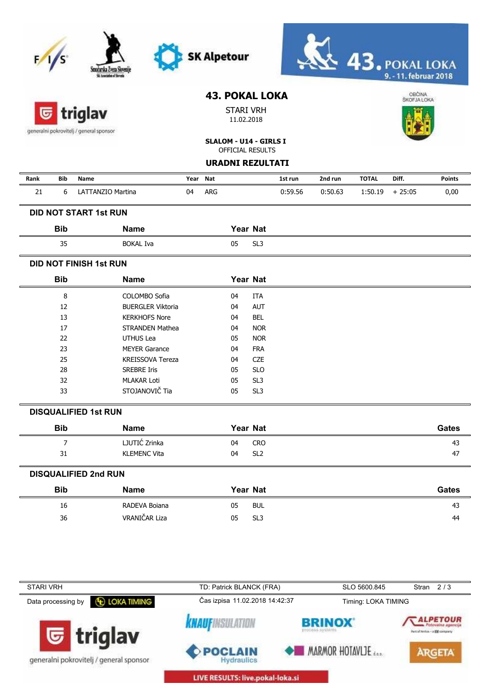|                    |                | Smocarska Zveza Sloven<br>Sti Americano of Shevada |      |            | <b>SK Alpetour</b>                                      |                 |         |         |                     | $\textcolor{red}{43}.$ POKAL LOKA<br>9. - 11. februar 2018 |               |
|--------------------|----------------|----------------------------------------------------|------|------------|---------------------------------------------------------|-----------------|---------|---------|---------------------|------------------------------------------------------------|---------------|
|                    |                | triglav<br>generalni pokrovitelj / general sponsor |      |            | <b>43. POKAL LOKA</b><br><b>STARI VRH</b><br>11.02.2018 |                 |         |         |                     | OBČINA<br>ŠKOFJALOKA                                       |               |
|                    |                |                                                    |      |            | SLALOM - U14 - GIRLS I<br><b>OFFICIAL RESULTS</b>       |                 |         |         |                     |                                                            |               |
|                    |                |                                                    |      |            | <b>URADNI REZULTATI</b>                                 |                 |         |         |                     |                                                            |               |
|                    |                |                                                    |      |            |                                                         |                 |         |         |                     |                                                            |               |
| Rank               | Bib            | Name                                               | Year | Nat        |                                                         |                 | 1st run | 2nd run | <b>TOTAL</b>        | Diff.                                                      | <b>Points</b> |
| 21                 | 6              | LATTANZIO Martina                                  | 04   | <b>ARG</b> |                                                         |                 | 0:59.56 | 0:50.63 | 1:50.19             | $+25:05$                                                   | 0,00          |
|                    |                | <b>DID NOT START 1st RUN</b>                       |      |            |                                                         |                 |         |         |                     |                                                            |               |
| <b>Bib</b>         |                | <b>Name</b>                                        |      |            | Year Nat                                                |                 |         |         |                     |                                                            |               |
|                    | 35             | <b>BOKAL Iva</b>                                   |      |            | 05                                                      | SL <sub>3</sub> |         |         |                     |                                                            |               |
|                    |                | <b>DID NOT FINISH 1st RUN</b>                      |      |            |                                                         |                 |         |         |                     |                                                            |               |
| <b>Bib</b>         |                | <b>Name</b>                                        |      |            | Year Nat                                                |                 |         |         |                     |                                                            |               |
|                    | 8              | COLOMBO Sofia                                      |      |            | 04                                                      | <b>ITA</b>      |         |         |                     |                                                            |               |
|                    | 12             | <b>BUERGLER Viktoria</b>                           |      |            | 04                                                      | AUT             |         |         |                     |                                                            |               |
|                    | 13             | <b>KERKHOFS Nore</b>                               |      |            | 04                                                      | <b>BEL</b>      |         |         |                     |                                                            |               |
|                    | 17             | <b>STRANDEN Mathea</b>                             |      |            | 04                                                      | <b>NOR</b>      |         |         |                     |                                                            |               |
|                    | 22             | UTHUS Lea                                          |      |            | 05                                                      | <b>NOR</b>      |         |         |                     |                                                            |               |
|                    | 23             | <b>MEYER Garance</b>                               |      |            | 04                                                      | <b>FRA</b>      |         |         |                     |                                                            |               |
|                    | 25             | <b>KREISSOVA Tereza</b>                            |      |            | 04                                                      | <b>CZE</b>      |         |         |                     |                                                            |               |
|                    | 28             | <b>SREBRE Iris</b>                                 |      |            | 05                                                      | <b>SLO</b>      |         |         |                     |                                                            |               |
|                    | 32             | <b>MLAKAR Loti</b>                                 |      |            | 05                                                      | SL <sub>3</sub> |         |         |                     |                                                            |               |
|                    | 33             | STOJANOVIČ Tia                                     |      |            | 05                                                      | SL <sub>3</sub> |         |         |                     |                                                            |               |
|                    |                | <b>DISQUALIFIED 1st RUN</b>                        |      |            |                                                         |                 |         |         |                     |                                                            |               |
|                    | <b>Bib</b>     | <b>Name</b>                                        |      |            | Year Nat                                                |                 |         |         |                     |                                                            | <b>Gates</b>  |
|                    | $\overline{7}$ | LJUTIĆ Zrinka                                      |      |            | 04                                                      | <b>CRO</b>      |         |         |                     |                                                            | 43            |
|                    | 31             | <b>KLEMENC Vita</b>                                |      |            | 04                                                      | SL <sub>2</sub> |         |         |                     |                                                            | 47            |
|                    |                | <b>DISQUALIFIED 2nd RUN</b>                        |      |            |                                                         |                 |         |         |                     |                                                            |               |
| <b>Bib</b>         |                | <b>Name</b>                                        |      |            | Year Nat                                                |                 |         |         |                     |                                                            | <b>Gates</b>  |
|                    | 16             | RADEVA Boiana                                      |      |            | 05                                                      | <b>BUL</b>      |         |         |                     |                                                            | 43            |
|                    | 36             | VRANIČAR Liza                                      |      |            | 05                                                      | SL <sub>3</sub> |         |         |                     |                                                            | 44            |
|                    |                |                                                    |      |            |                                                         |                 |         |         |                     |                                                            |               |
| <b>STARI VRH</b>   |                |                                                    |      |            | TD: Patrick BLANCK (FRA)                                |                 |         |         | SLO 5600.845        |                                                            | Stran $2/3$   |
| Data processing by |                | <b>E LOKA TIMING</b>                               |      |            | Čas izpisa 11.02.2018 14:42:37                          |                 |         |         | Timing: LOKA TIMING |                                                            |               |



LIVE RESULTS: live.pokal-loka.si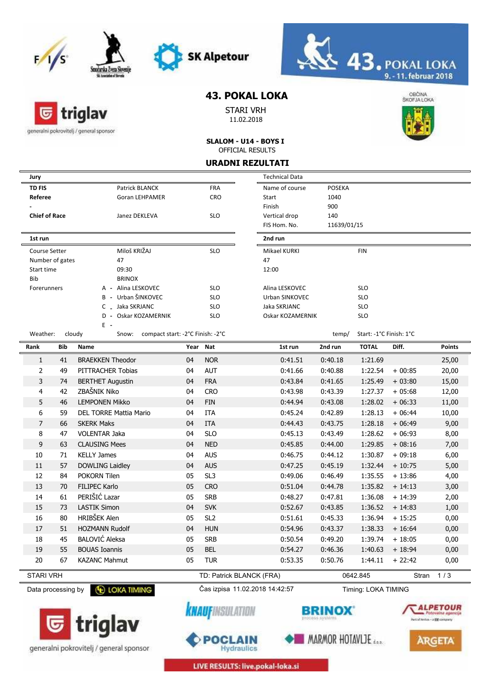

triglav





## **43. POKAL LOKA**

STARI VRH 11.02.2018



generalni pokrovitelj / general sponsor

G

### **SLALOM - U14 - BOYS I** OFFICIAL RESULTS

|                                                                   | <b>URADNI REZULTATI</b> |                                                     |      |                 |                       |               |                          |          |               |
|-------------------------------------------------------------------|-------------------------|-----------------------------------------------------|------|-----------------|-----------------------|---------------|--------------------------|----------|---------------|
| Jury                                                              |                         |                                                     |      |                 | <b>Technical Data</b> |               |                          |          |               |
| <b>TD FIS</b>                                                     |                         | Patrick BLANCK                                      |      | <b>FRA</b>      | Name of course        | <b>POSEKA</b> |                          |          |               |
| Referee                                                           |                         | <b>Goran LEHPAMER</b>                               |      | CRO             | Start                 | 1040          |                          |          |               |
|                                                                   |                         |                                                     |      |                 | Finish                | 900           |                          |          |               |
| <b>Chief of Race</b>                                              |                         | Janez DEKLEVA                                       |      | <b>SLO</b>      | Vertical drop         | 140           |                          |          |               |
|                                                                   |                         |                                                     |      |                 | FIS Hom. No.          | 11639/01/15   |                          |          |               |
| 1st run                                                           |                         |                                                     |      |                 | 2nd run               |               |                          |          |               |
| Course Setter                                                     |                         | Miloš KRIŽAJ                                        |      | <b>SLO</b>      | Mikael KURKI          |               | <b>FIN</b>               |          |               |
| Number of gates                                                   |                         | 47                                                  |      |                 | 47                    |               |                          |          |               |
| Start time                                                        |                         | 09:30                                               |      |                 | 12:00                 |               |                          |          |               |
| <b>Bib</b>                                                        |                         | <b>BRINOX</b>                                       |      |                 |                       |               |                          |          |               |
| Forerunners                                                       |                         | A - Alina LESKOVEC                                  |      | <b>SLO</b>      | Alina LESKOVEC        |               | <b>SLO</b>               |          |               |
|                                                                   |                         | B - Urban ŠINKOVEC                                  |      | <b>SLO</b>      | Urban ŠINKOVEC        |               | <b>SLO</b>               |          |               |
|                                                                   |                         | C _ Jaka ŠKRJANC<br>Oskar KOZAMERNIK<br>$D -$       |      | <b>SLO</b>      | Jaka ŠKRJANC          |               | <b>SLO</b><br><b>SLO</b> |          |               |
|                                                                   |                         | E -                                                 |      | <b>SLO</b>      | Oskar KOZAMERNIK      |               |                          |          |               |
| Weather:                                                          |                         | cloudy<br>compact start: -2°C Finish: -2°C<br>Snow: |      |                 |                       | temp/         | Start: -1°C Finish: 1°C  |          |               |
| Rank                                                              | Bib                     | Name                                                | Year | Nat             | 1st run               | 2nd run       | <b>TOTAL</b>             | Diff.    | <b>Points</b> |
| 1                                                                 | 41                      | <b>BRAEKKEN Theodor</b>                             | 04   | <b>NOR</b>      | 0:41.51               | 0:40.18       | 1:21.69                  |          | 25,00         |
| $\overline{2}$                                                    | 49                      | PITTRACHER Tobias                                   | 04   | <b>AUT</b>      | 0:41.66               | 0:40.88       | 1:22.54                  | $+00:85$ | 20,00         |
| 3                                                                 | 74                      | <b>BERTHET Augustin</b>                             | 04   | <b>FRA</b>      | 0:43.84               | 0:41.65       | 1:25.49                  | $+03:80$ | 15,00         |
| 4                                                                 | 42                      | ZBAŠNIK Niko                                        | 04   | <b>CRO</b>      | 0:43.98               | 0:43.39       | 1:27.37                  | $+05:68$ | 12,00         |
| 5                                                                 | 46                      | <b>LEMPONEN Mikko</b>                               | 04   | <b>FIN</b>      | 0:44.94               | 0:43.08       | 1:28.02                  | $+06:33$ | 11,00         |
| 6                                                                 | 59                      | <b>DEL TORRE Mattia Mario</b>                       | 04   | <b>ITA</b>      | 0:45.24               | 0:42.89       | 1:28.13                  | $+06:44$ | 10,00         |
| $\overline{7}$                                                    | 66                      | <b>SKERK Maks</b>                                   | 04   | <b>ITA</b>      | 0:44.43               | 0:43.75       | 1:28.18                  | $+06:49$ | 9,00          |
| 8                                                                 | 47                      | <b>VOLENTAR Jaka</b>                                | 04   | <b>SLO</b>      | 0:45.13               | 0:43.49       | 1:28.62                  | $+06:93$ | 8,00          |
| 9                                                                 | 63                      | <b>CLAUSING Mees</b>                                | 04   | <b>NED</b>      | 0:45.85               | 0:44.00       | 1:29.85                  | $+08:16$ | 7,00          |
| 10                                                                | 71                      | <b>KELLY James</b>                                  | 04   | <b>AUS</b>      | 0:46.75               | 0:44.12       | 1:30.87                  | $+09:18$ | 6,00          |
| 11                                                                | 57                      | <b>DOWLING Laidley</b>                              | 04   | <b>AUS</b>      | 0:47.25               | 0:45.19       | 1:32.44                  | $+10:75$ | 5,00          |
| 12                                                                | 84                      | POKORN Tilen                                        | 05   | SL <sub>3</sub> | 0:49.06               | 0:46.49       | 1:35.55                  | $+13:86$ | 4,00          |
| 13                                                                | 70                      | <b>FILIPEC Karlo</b>                                | 05   | <b>CRO</b>      | 0:51.04               | 0:44.78       | 1:35.82                  | $+14:13$ | 3,00          |
| 14                                                                | 61                      | PERIŠIĆ Lazar                                       | 05   | <b>SRB</b>      | 0:48.27               | 0:47.81       | 1:36.08                  | $+14:39$ | 2,00          |
| 15                                                                | 73                      | <b>LASTIK Simon</b>                                 | 04   | <b>SVK</b>      | 0:52.67               | 0:43.85       | 1:36.52                  | $+14:83$ | 1,00          |
| 16                                                                | 80                      | <b>HRIBŠEK Alen</b>                                 | 05   | SL <sub>2</sub> | 0:51.61               | 0:45.33       | 1:36.94                  | $+15:25$ | 0,00          |
| 17                                                                | 51                      | <b>HOZMANN Rudolf</b>                               | 04   | <b>HUN</b>      | 0:54.96               | 0:43.37       | 1:38.33                  | $+16:64$ | 0,00          |
| 18                                                                | 45                      | <b>BALOVIĆ Aleksa</b>                               | 05   | <b>SRB</b>      | 0:50.54               | 0:49.20       | 1:39.74                  | $+18:05$ | 0,00          |
| 19                                                                | 55                      | <b>BOUAS Ioannis</b>                                | 05   | <b>BEL</b>      | 0:54.27               | 0:46.36       | 1:40.63                  | $+18:94$ | 0,00          |
| 20                                                                | 67                      | <b>KAZANC Mahmut</b>                                | 05   | <b>TUR</b>      | 0:53.35               | 0:50.76       | 1:44.11                  | $+22:42$ | 0,00          |
|                                                                   |                         |                                                     |      |                 |                       |               |                          |          |               |
| <b>STARI VRH</b><br>TD: Patrick BLANCK (FRA)<br>0642.845<br>Stran |                         |                                                     |      |                 | 1/3                   |               |                          |          |               |

Data processing by **C** LOKA TIMING Cas izpisa 11.02.2018 14:42:57

**KNAUFINSULATION** 

POCLAIN

Timing: LOKA TIMING **BRINOX** 

MARMOR HOTAVLJE



**ARGETA** 



generalni pokrovitelj / general sponsor

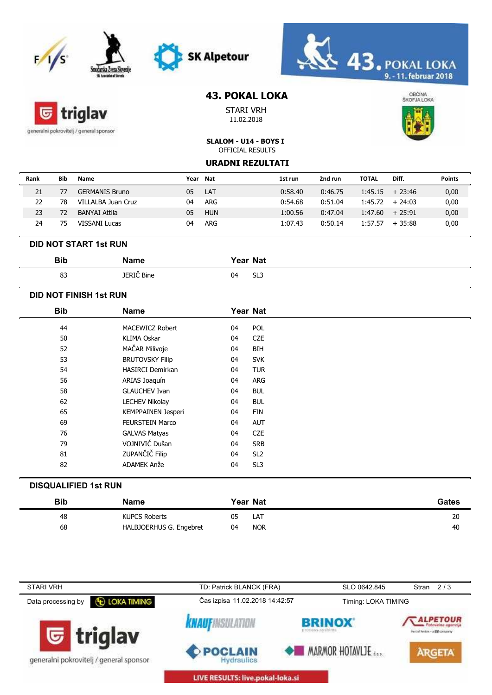



# triglav G

generalni pokrovitelj / general sponsor

## **43. POKAL LOKA**

**SK Alpetour** 

STARI VRH 11.02.2018



**SLALOM - U14 - BOYS I** OFFICIAL RESULTS

#### **URADNI REZULTATI**

| Rank | Bib | Name                  | Year | Nat        | 1st run | 2nd run | <b>TOTAL</b>      | Diff.    | <b>Points</b> |
|------|-----|-----------------------|------|------------|---------|---------|-------------------|----------|---------------|
| 21   |     | <b>GERMANIS Bruno</b> | 05   | LAT        | 0:58.40 | 0:46.75 | $1:45.15 + 23:46$ |          | 0,00          |
| 22   | 78  | VILLALBA Juan Cruz    | 04   | ARG        | 0:54.68 | 0:51.04 | 1:45.72           | $+24:03$ | 0,00          |
| 23   | 72  | BANYAI Attila         | 05   | <b>HUN</b> | 1:00.56 | 0:47.04 | 1:47.60           | $+25:91$ | 0,00          |
| 24   | 75  | VISSANI Lucas         | 04   | ARG        | 1:07.43 | 0:50.14 | 1:57.57           | $+35:88$ | 0,00          |

#### **DID NOT START 1st RUN**

| <b>Bib</b> | Name       |    | Year Nat |
|------------|------------|----|----------|
| ດລ         | JERIC Bine | 04 | $\sim$   |
| ంప         |            | ັ  | ن∟ت      |

### **DID NOT FINISH 1st RUN**

| <b>Bib</b> | <b>Name</b>               |    | Year Nat        |
|------------|---------------------------|----|-----------------|
| 44         | MACEWICZ Robert           | 04 | POL             |
| 50         | <b>KLIMA Oskar</b>        | 04 | <b>CZE</b>      |
| 52         | MAČAR Milivoje            | 04 | BIH             |
| 53         | <b>BRUTOVSKY Filip</b>    | 04 | <b>SVK</b>      |
| 54         | <b>HASIRCI Demirkan</b>   | 04 | <b>TUR</b>      |
| 56         | ARIAS Joaquín             | 04 | ARG             |
| 58         | <b>GLAUCHEV Ivan</b>      | 04 | <b>BUL</b>      |
| 62         | <b>LECHEV Nikolay</b>     | 04 | <b>BUL</b>      |
| 65         | <b>KEMPPAINEN Jesperi</b> | 04 | <b>FIN</b>      |
| 69         | <b>FEURSTEIN Marco</b>    | 04 | <b>AUT</b>      |
| 76         | <b>GALVAS Matyas</b>      | 04 | <b>CZE</b>      |
| 79         | VOJNIVIĆ Dušan            | 04 | <b>SRB</b>      |
| 81         | ZUPANČIČ Filip            | 04 | SL <sub>2</sub> |
| 82         | ADAMEK Anže               | 04 | SL <sub>3</sub> |

### **DISQUALIFIED 1st RUN**

| <b>Bib</b> | <b>Name</b>             | Year Nat         | Gates |
|------------|-------------------------|------------------|-------|
| 48         | <b>KUPCS Roberts</b>    | 05<br>LAT        | 20    |
| 68         | HALBJOERHUS G. Engebret | <b>NOR</b><br>04 | 40    |